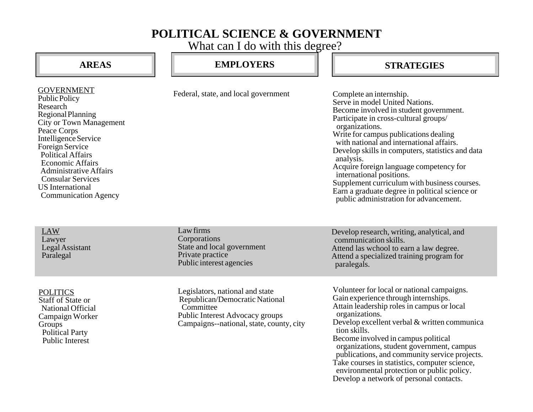## **POLITICAL SCIENCE & GOVERNMENT**

What can I do with this degree?

| <b>AREAS</b>                                                                                                                                                                                                                                                                                                                                         | <b>EMPLOYERS</b>                                                                                                                                              | <b>STRATEGIES</b>                                                                                                                                                                                                                                                                                                                                                                                                                                                                                                                       |
|------------------------------------------------------------------------------------------------------------------------------------------------------------------------------------------------------------------------------------------------------------------------------------------------------------------------------------------------------|---------------------------------------------------------------------------------------------------------------------------------------------------------------|-----------------------------------------------------------------------------------------------------------------------------------------------------------------------------------------------------------------------------------------------------------------------------------------------------------------------------------------------------------------------------------------------------------------------------------------------------------------------------------------------------------------------------------------|
| <b>GOVERNMENT</b><br>Public Policy<br>Research<br><b>Regional Planning</b><br><b>City or Town Management</b><br>Peace Corps<br>Intelligence Service<br>Foreign Service<br><b>Political Affairs</b><br><b>Economic Affairs</b><br><b>Administrative Affairs</b><br><b>Consular Services</b><br><b>US</b> International<br><b>Communication Agency</b> | Federal, state, and local government                                                                                                                          | Complete an internship.<br>Serve in model United Nations.<br>Become involved in student government.<br>Participate in cross-cultural groups/<br>organizations.<br>Write for campus publications dealing<br>with national and international affairs.<br>Develop skills in computers, statistics and data<br>analysis.<br>Acquire foreign language competency for<br>international positions.<br>Supplement curriculum with business courses.<br>Earn a graduate degree in political science or<br>public administration for advancement. |
| <b>LAW</b><br>Lawyer<br>Legal Assistant<br>Paralegal                                                                                                                                                                                                                                                                                                 | Law firms<br>Corporations<br>State and local government<br>Private practice<br>Public interest agencies                                                       | Develop research, writing, analytical, and<br>communication skills.<br>Attend las wchool to earn a law degree.<br>Attend a specialized training program for<br>paralegals.                                                                                                                                                                                                                                                                                                                                                              |
| <b>POLITICS</b><br><b>Staff of State or</b><br>National Official<br>Campaign Worker<br>Groups<br><b>Political Party</b><br><b>Public Interest</b>                                                                                                                                                                                                    | Legislators, national and state<br>Republican/Democratic National<br>Committee<br>Public Interest Advocacy groups<br>Campaigns--national, state, county, city | Volunteer for local or national campaigns.<br>Gain experience through internships.<br>Attain leadership roles in campus or local<br>organizations.<br>Develop excellent verbal & written communica<br>tion skills.<br>Become involved in campus political<br>organizations, student government, campus<br>publications, and community service projects.<br>Take courses in statistics, computer science,<br>environmental protection or public policy.<br>Develop a network of personal contacts.                                       |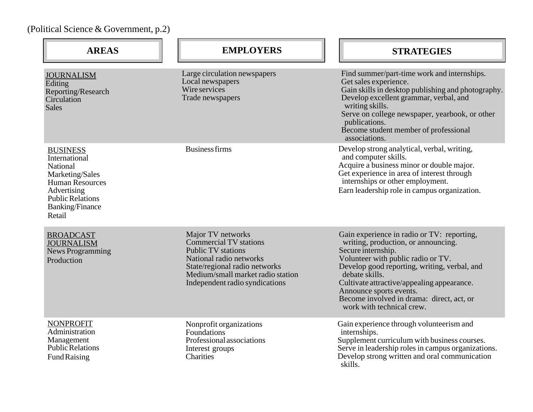```
(Political Science & Government, p.2)
```

| <b>AREAS</b>                                                                                                                                                     | <b>EMPLOYERS</b>                                                                                                                                                                                                   | <b>STRATEGIES</b>                                                                                                                                                                                                                                                                                                                                                  |
|------------------------------------------------------------------------------------------------------------------------------------------------------------------|--------------------------------------------------------------------------------------------------------------------------------------------------------------------------------------------------------------------|--------------------------------------------------------------------------------------------------------------------------------------------------------------------------------------------------------------------------------------------------------------------------------------------------------------------------------------------------------------------|
| <b>JOURNALISM</b><br>Editing<br>Reporting/Research<br>Circulation<br><b>Sales</b>                                                                                | Large circulation newspapers<br>Local newspapers<br>Wire services<br>Trade newspapers                                                                                                                              | Find summer/part-time work and internships.<br>Get sales experience.<br>Gain skills in desktop publishing and photography.<br>Develop excellent grammar, verbal, and<br>writing skills.<br>Serve on college newspaper, yearbook, or other<br>publications.<br>Become student member of professional<br>associations.                                               |
| <b>BUSINESS</b><br>International<br>National<br>Marketing/Sales<br>Human Resources<br>Advertising<br><b>Public Relations</b><br><b>Banking/Finance</b><br>Retail | <b>Business firms</b>                                                                                                                                                                                              | Develop strong analytical, verbal, writing,<br>and computer skills.<br>Acquire a business minor or double major.<br>Get experience in area of interest through<br>internships or other employment.<br>Earn leadership role in campus organization.                                                                                                                 |
| <b>BROADCAST</b><br><b>JOURNALISM</b><br><b>News Programming</b><br>Production                                                                                   | Major TV networks<br><b>Commercial TV stations</b><br><b>Public TV</b> stations<br>National radio networks<br>State/regional radio networks<br>Medium/small market radio station<br>Independent radio syndications | Gain experience in radio or TV: reporting,<br>writing, production, or announcing.<br>Secure internship.<br>Volunteer with public radio or TV.<br>Develop good reporting, writing, verbal, and<br>debate skills.<br>Cultivate attractive/appealing appearance.<br>Announce sports events.<br>Become involved in drama: direct, act, or<br>work with technical crew. |
| <b>NONPROFIT</b><br>Administration<br>Management<br><b>Public Relations</b><br>Fund Raising                                                                      | Nonprofit organizations<br>Foundations<br>Professional associations<br>Interest groups<br>Charities                                                                                                                | Gain experience through volunteerism and<br>internships.<br>Supplement curriculum with business courses.<br>Serve in leadership roles in campus organizations.<br>Develop strong written and oral communication<br>skills.                                                                                                                                         |